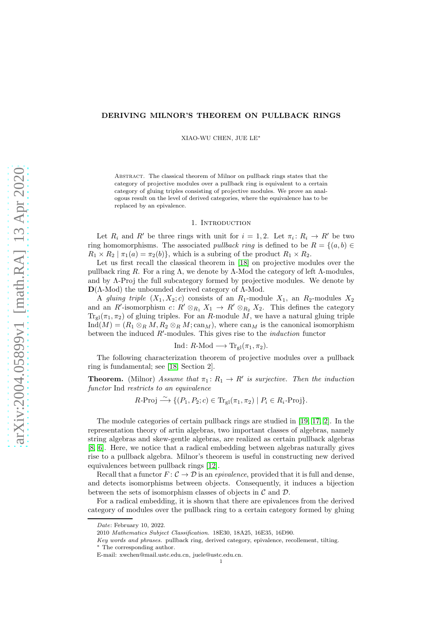# DERIVING MILNOR'S THEOREM ON PULLBACK RINGS

XIAO-WU CHEN, JUE LE<sup>∗</sup>

Abstract. The classical theorem of Milnor on pullback rings states that the category of projective modules over a pullback ring is equivalent to a certain category of gluing triples consisting of projective modules. We prove an analogous result on the level of derived categories, where the equivalence has to be replaced by an epivalence.

#### 1. Introduction

Let  $R_i$  and  $R'$  be three rings with unit for  $i = 1, 2$ . Let  $\pi_i : R_i \to R'$  be two ring homomorphisms. The associated *pullback ring* is defined to be  $R = \{(a, b) \in$  $R_1 \times R_2 \mid \pi_1(a) = \pi_2(b)$ , which is a subring of the product  $R_1 \times R_2$ .

Let us first recall the classical theorem in [\[18\]](#page-13-0) on projective modules over the pullback ring R. For a ring Λ, we denote by Λ-Mod the category of left Λ-modules, and by Λ-Proj the full subcategory formed by projective modules. We denote by  $D(Λ$ -Mod) the unbounded derived category of  $Λ$ -Mod.

A gluing triple  $(X_1, X_2; c)$  consists of an  $R_1$ -module  $X_1$ , an  $R_2$ -modules  $X_2$ and an R'-isomorphism  $c: R' \otimes_{R_1} X_1 \to R' \otimes_{R_2} X_2$ . This defines the category  $Tr_{gl}(\pi_1, \pi_2)$  of gluing triples. For an R-module M, we have a natural gluing triple  $\text{Ind}(M) = (R_1 \otimes_R M, R_2 \otimes_R M; \text{can}_M)$ , where  $\text{can}_M$  is the canonical isomorphism between the induced  $R'$ -modules. This gives rise to the *induction* functor

# Ind:  $R\text{-Mod} \longrightarrow \text{Tr}_{\text{gl}}(\pi_1, \pi_2)$ .

The following characterization theorem of projective modules over a pullback ring is fundamental; see [\[18,](#page-13-0) Section 2].

**Theorem.** (Milnor) Assume that  $\pi_1: R_1 \to R'$  is surjective. Then the induction functor Ind restricts to an equivalence

$$
R\text{-Proj} \xrightarrow{\sim} \{ (P_1, P_2; c) \in \text{Tr}_{\text{gl}}(\pi_1, \pi_2) \mid P_i \in R_i\text{-Proj} \}.
$$

The module categories of certain pullback rings are studied in [\[19,](#page-13-1) [17,](#page-13-2) [2\]](#page-12-0). In the representation theory of artin algebras, two important classes of algebras, namely string algebras and skew-gentle algebras, are realized as certain pullback algebras [\[8,](#page-12-1) [6\]](#page-12-2). Here, we notice that a radical embedding between algebras naturally gives rise to a pullback algebra. Milnor's theorem is useful in constructing new derived equivalences between pullback rings [\[12\]](#page-13-3).

Recall that a functor  $F: \mathcal{C} \to \mathcal{D}$  is an *epivalence*, provided that it is full and dense, and detects isomorphisms between objects. Consequently, it induces a bijection between the sets of isomorphism classes of objects in  $\mathcal C$  and  $\mathcal D$ .

For a radical embedding, it is shown that there are epivalences from the derived category of modules over the pullback ring to a certain category formed by gluing

*Date*: February 10, 2022.

<sup>2010</sup> *Mathematics Subject Classification.* 18E30, 18A25, 16E35, 16D90.

*Key words and phrases.* pullback ring, derived category, epivalence, recollement, tilting.

The corresponding author.

E-mail: xwchen@mail.ustc.edu.cn, juele@ustc.edu.cn.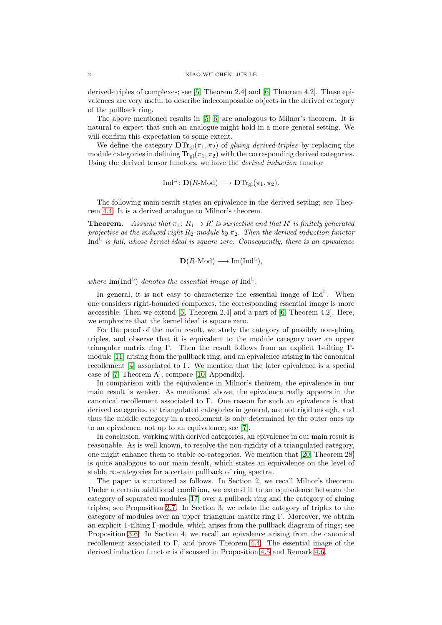derived-triples of complexes; see [\[5,](#page-12-3) Theorem 2.4] and [\[6,](#page-12-2) Theorem 4.2]. These epivalences are very useful to describe indecomposable objects in the derived category of the pullback ring.

The above mentioned results in [\[5,](#page-12-3) [6\]](#page-12-2) are analogous to Milnor's theorem. It is natural to expect that such an analogue might hold in a more general setting. We will confirm this expectation to some extent.

We define the category  $\mathbf{DTr}_{gl}(\pi_1, \pi_2)$  of *gluing derived-triples* by replacing the module categories in defining  $Tr_{gl}(\pi_1, \pi_2)$  with the corresponding derived categories. Using the derived tensor functors, we have the derived induction functor

$$
\mathrm{Ind}^{\mathbb{L}}\colon \mathbf{D}(R\text{-Mod})\longrightarrow \mathbf{D}\mathrm{Tr}_{\mathrm{gl}}(\pi_1,\pi_2).
$$

The following main result states an epivalence in the derived setting; see Theorem [4.4.](#page-11-0) It is a derived analogue to Milnor's theorem.

**Theorem.** Assume that  $\pi_1: R_1 \to R'$  is surjective and that R' is finitely generated projective as the induced right  $R_2$ -module by  $\pi_2$ . Then the derived induction functor  $\text{Ind}^{\mathbb{L}}$  is full, whose kernel ideal is square zero. Consequently, there is an epivalence

$$
\mathbf{D}(R\text{-Mod}) \longrightarrow \text{Im}(\text{Ind}^{\mathbb{L}}),
$$

where  $\text{Im}(\text{Ind}^{\mathbb{L}})$  denotes the essential image of  $\text{Ind}^{\mathbb{L}}$ .

In general, it is not easy to characterize the essential image of  $\text{Ind}^{\mathbb{L}}$ . When one considers right-bounded complexes, the corresponding essential image is more accessible. Then we extend [\[5,](#page-12-3) Theorem 2.4] and a part of [\[6,](#page-12-2) Theorem 4.2]. Here, we emphasize that the kernel ideal is square zero.

For the proof of the main result, we study the category of possibly non-gluing triples, and observe that it is equivalent to the module category over an upper triangular matrix ring Γ. Then the result follows from an explicit 1-tilting Γmodule [\[11\]](#page-12-4) arising from the pullback ring, and an epivalence arising in the canonical recollement [\[4\]](#page-12-5) associated to Γ. We mention that the later epivalence is a special case of [\[7,](#page-12-6) Theorem A]; compare [\[10,](#page-12-7) Appendix].

In comparison with the equivalence in Milnor's theorem, the epivalence in our main result is weaker. As mentioned above, the epivalence really appears in the canonical recollement associated to Γ. One reason for such an epivalence is that derived categories, or triangulated categories in general, are not rigid enough, and thus the middle category in a recollement is only determined by the outer ones up to an epivalence, not up to an equivalence; see [\[7\]](#page-12-6).

In conclusion, working with derived categories, an epivalence in our main result is reasonable. As is well known, to resolve the non-rigidity of a triangulated category, one might enhance them to stable  $\infty$ -categories. We mention that [\[20,](#page-13-4) Theorem 28] is quite analogous to our main result, which states an equivalence on the level of stable  $\infty$ -categories for a certain pullback of ring spectra.

The paper ia structured as follows. In Section 2, we recall Milnor's theorem. Under a certain additional condition, we extend it to an equivalence between the category of separated modules [\[17\]](#page-13-2) over a pullback ring and the category of gluing triples; see Proposition [2.7.](#page-5-0) In Section 3, we relate the category of triples to the category of modules over an upper triangular matrix ring Γ. Moreover, we obtain an explicit 1-tilting Γ-module, which arises from the pullback diagram of rings; see Proposition [3.6.](#page-7-0) In Section 4, we recall an epivalence arising from the canonical recollement associated to  $\Gamma$ , and prove Theorem [4.4.](#page-11-0) The essential image of the derived induction functor is discussed in Proposition [4.5](#page-11-1) and Remark [4.6.](#page-12-8)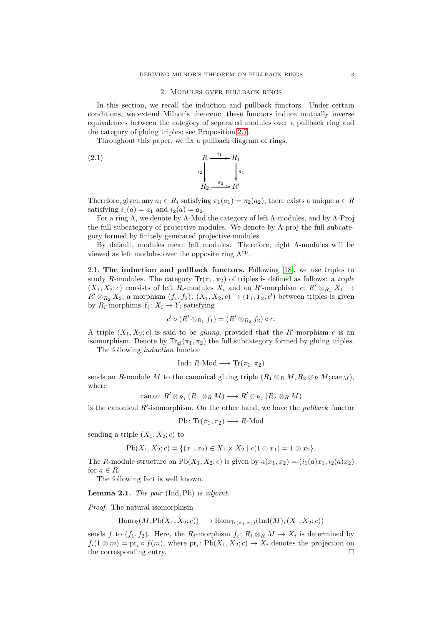## 2. Modules over pullback rings

In this section, we recall the induction and pullback functors. Under certain conditions, we extend Milnor's theorem: these functors induce mutually inverse equivalences between the category of separated modules over a pullback ring and the category of gluing triples; see Proposition [2.7.](#page-5-0)

Throughout this paper, we fix a pullback diagram of rings.

<span id="page-2-0"></span>(2.1) 
$$
R \xrightarrow{i_1} R_1
$$

$$
i_2 \qquad \qquad i_3
$$

$$
R_2 \xrightarrow{\pi_2} R'
$$

Therefore, given any  $a_i \in R_i$  satisfying  $\pi_1(a_1) = \pi_2(a_2)$ , there exists a unique  $a \in R$ satisfying  $i_1(a) = a_1$  and  $i_2(a) = a_2$ .

For a ring  $\Lambda$ , we denote by  $\Lambda$ -Mod the category of left  $\Lambda$ -modules, and by  $\Lambda$ -Proj the full subcategory of projective modules. We denote by  $\Lambda$ -proj the full subcategory formed by finitely generated projective modules.

By default, modules mean left modules. Therefore, right Λ-modules will be viewed as left modules over the opposite ring  $\Lambda^{op}$ .

2.1. The induction and pullback functors. Following  $[18]$ , we use triples to study R-modules. The category  $\text{Tr}(\pi_1, \pi_2)$  of triples is defined as follows: a *triple*  $(X_1, X_2; c)$  consists of left  $R_i$ -modules  $X_i$  and an  $R'$ -morphism  $c: R' \otimes_{R_1} X_1 \rightarrow$  $R' \otimes_{R_2} X_2$ ; a morphism  $(f_1, f_2)$ :  $(X_1, X_2; c) \rightarrow (Y_1, Y_2; c')$  between triples is given by  $R_i$ -morphims  $f_i: X_i \to Y_i$  satisfying

$$
c' \circ (R' \otimes_{R_1} f_1) = (R' \otimes_{R_2} f_2) \circ c.
$$

A triple  $(X_1, X_2; c)$  is said to be *gluing*, provided that the R'-morphism c is an isomorphism. Denote by  $Tr_{\nu}(\pi_1, \pi_2)$  the full subcategory formed by gluing triples. The following induction functor

$$
Ind: R\text{-Mod} \longrightarrow \text{Tr}(\pi_1, \pi_2)
$$

sends an R-module M to the canonical gluing triple  $(R_1 \otimes_R M, R_2 \otimes_R M; \text{can}_M)$ , where

$$
\operatorname{can}_M\colon R'\otimes_{R_1}(R_1\otimes_R M)\longrightarrow R'\otimes_{R_2}(R_2\otimes_R M)
$$

is the canonical  $R'$ -isomorphism. On the other hand, we have the *pullback* functor

$$
Pb\colon \text{Tr}(\pi_1, \pi_2) \longrightarrow R\text{-Mod}
$$

sending a triple  $(X_1, X_2; c)$  to

$$
Pb(X_1, X_2; c) = \{ (x_1, x_2) \in X_1 \times X_2 \mid c(1 \otimes x_1) = 1 \otimes x_2 \}.
$$

The R-module structure on  $Pb(X_1, X_2; c)$  is given by  $a(x_1, x_2) = (i_1(a)x_1, i_2(a)x_2)$ for  $a \in R$ .

The following fact is well known.

Lemma 2.1. The pair (Ind, Pb) is adjoint.

Proof. The natural isomorphism

$$
\operatorname{Hom}_R(M, \operatorname{Pb}(X_1, X_2; c)) \longrightarrow \operatorname{Hom}_{\operatorname{Tr}(\pi_1, \pi_2)}(\operatorname{Ind}(M), (X_1, X_2; c))
$$

sends f to  $(f_1, f_2)$ . Here, the  $R_i$ -morphism  $f_i: R_i \otimes_R M \to X_i$  is determined by  $f_i(1 \otimes m) = \text{pr}_i \circ f(m)$ , where  $\text{pr}_i : \text{Pb}(X_1, X_2; c) \to X_i$  denotes the projection on the corresponding entry.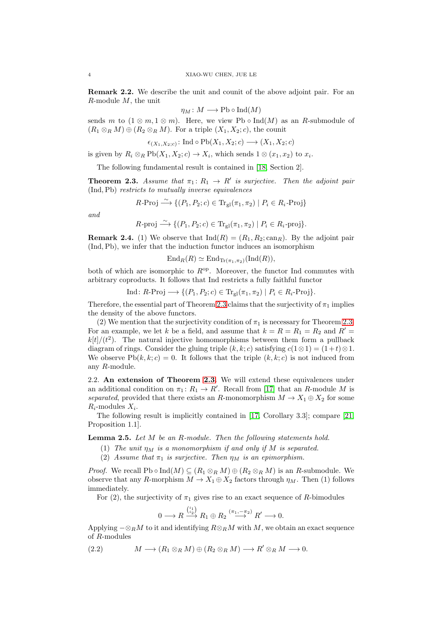Remark 2.2. We describe the unit and counit of the above adjoint pair. For an R-module M, the unit

$$
\eta_M\colon M\longrightarrow \text{Pb}\circ \text{Ind}(M)
$$

sends m to  $(1 \otimes m, 1 \otimes m)$ . Here, we view Pb  $\circ$  Ind(M) as an R-submodule of  $(R_1 \otimes_R M) \oplus (R_2 \otimes_R M)$ . For a triple  $(X_1, X_2; c)$ , the counit

 $\epsilon_{(X_1,X_2;c)}\colon \text{Ind}\circ\text{Pb}(X_1,X_2;c)\longrightarrow (X_1,X_2;c)$ 

is given by  $R_i \otimes_R \mathrm{Pb}(X_1, X_2; c) \to X_i$ , which sends  $1 \otimes (x_1, x_2)$  to  $x_i$ .

The following fundamental result is contained in [\[18,](#page-13-0) Section 2].

<span id="page-3-0"></span>**Theorem 2.3.** Assume that  $\pi_1: R_1 \to R'$  is surjective. Then the adjoint pair (Ind,Pb) restricts to mutually inverse equivalences

$$
R\text{-Proj} \xrightarrow{\sim} \{(P_1, P_2; c) \in \text{Tr}_{\text{gl}}(\pi_1, \pi_2) \mid P_i \in R_i\text{-Proj}\}
$$

and

$$
R\text{-proj} \xrightarrow{\sim} \{ (P_1, P_2; c) \in \text{Tr}_{\text{gl}}(\pi_1, \pi_2) \mid P_i \in R_i\text{-proj} \}.
$$

<span id="page-3-3"></span>**Remark 2.4.** (1) We observe that  $\text{Ind}(R) = (R_1, R_2; \text{can}_R)$ . By the adjoint pair (Ind,Pb), we infer that the induction functor induces an isomorphism

$$
\operatorname{End}_R(R) \simeq \operatorname{End}_{\operatorname{Tr}(\pi_1, \pi_2)}(\operatorname{Ind}(R)),
$$

both of which are isomorphic to  $R^{op}$ . Moreover, the functor Ind commutes with arbitrary coproducts. It follows that Ind restricts a fully faithful functor

$$
\text{Ind}: R\text{-}\text{Proj} \longrightarrow \{(P_1, P_2; c) \in \text{Tr}_{\text{gl}}(\pi_1, \pi_2) \mid P_i \in R_i\text{-}\text{Proj}\}.
$$

Therefore, the essential part of Theorem [2.3](#page-3-0) claims that the surjectivity of  $\pi_1$  implies the density of the above functors.

(2) We mention that the surjectivity condition of  $\pi_1$  is necessary for Theorem [2.3.](#page-3-0) For an example, we let k be a field, and assume that  $k = R = R_1 = R_2$  and  $R' =$  $k[t]/(t^2)$ . The natural injective homomorphisms between them form a pullback diagram of rings. Consider the gluing triple  $(k, k; c)$  satisfying  $c(1 \otimes 1) = (1+t) \otimes 1$ . We observe  $Pb(k, k; c) = 0$ . It follows that the triple  $(k, k; c)$  is not induced from any R-module.

2.2. An extension of Theorem [2.3.](#page-3-0) We will extend these equivalences under an additional condition on  $\pi_1: R_1 \to R'$ . Recall from [\[17\]](#page-13-2) that an R-module M is separated, provided that there exists an R-monomorphism  $M \to X_1 \oplus X_2$  for some  $R_i$ -modules  $X_i$ .

The following result is implicitly contained in [\[17,](#page-13-2) Corollary 3.3]; compare [\[21,](#page-13-5) Proposition 1.1].

<span id="page-3-2"></span>**Lemma 2.5.** Let M be an R-module. Then the following statements hold.

- (1) The unit  $\eta_M$  is a monomorphism if and only if M is separated.
- (2) Assume that  $\pi_1$  is surjective. Then  $\eta_M$  is an epimorphism.

*Proof.* We recall Pb  $\circ$  Ind(M)  $\subseteq (R_1 \otimes_R M) \oplus (R_2 \otimes_R M)$  is an R-submodule. We observe that any R-morphism  $M \to X_1 \oplus X_2$  factors through  $\eta_M$ . Then (1) follows immediately.

For (2), the surjectivity of  $\pi_1$  gives rise to an exact sequence of R-bimodules

$$
0 \longrightarrow R \stackrel{\binom{i_1}{i_2}}{\longrightarrow} R_1 \oplus R_2 \stackrel{(\pi_1, -\pi_2)}{\longrightarrow} R' \longrightarrow 0.
$$

Applying  $-\otimes_R M$  to it and identifying  $R\otimes_R M$  with M, we obtain an exact sequence of R-modules

<span id="page-3-1"></span>(2.2) 
$$
M \longrightarrow (R_1 \otimes_R M) \oplus (R_2 \otimes_R M) \longrightarrow R' \otimes_R M \longrightarrow 0.
$$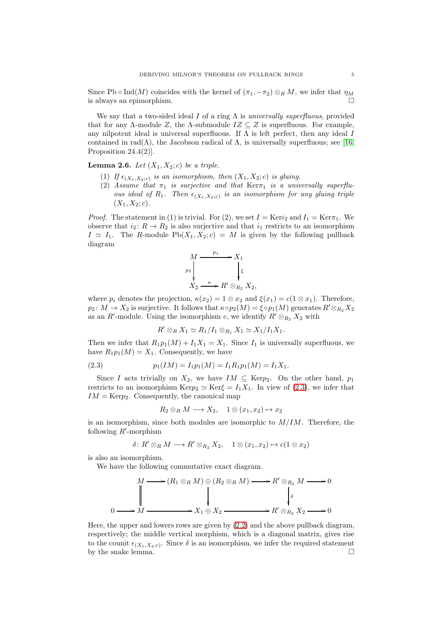Since Pb ∘ Ind(M) coincides with the kernel of  $(\pi_1, -\pi_2) \otimes_R M$ , we infer that  $\eta_M$ is always an epimorphism.

We say that a two-sided ideal I of a ring  $\Lambda$  is universally superfluous, provided that for any Λ-module Z, the Λ-submodule  $IZ \subseteq Z$  is superfluous. For example, any nilpotent ideal is universal superfluous. If  $\Lambda$  is left perfect, then any ideal  $I$ contained in rad( $\Lambda$ ), the Jacobson radical of  $\Lambda$ , is universally superfluous; see [\[16,](#page-13-6) Proposition 24.4(2)].

# <span id="page-4-1"></span>**Lemma 2.6.** Let  $(X_1, X_2; c)$  be a triple.

- (1) If  $\epsilon_{(X_1, X_2; c)}$  is an isomorphism, then  $(X_1, X_2; c)$  is gluing.
- (2) Assume that  $\pi_1$  is surjective and that  $\text{Ker}\pi_1$  is a universally superfluous ideal of  $R_1$ . Then  $\epsilon_{(X_1,X_2;c)}$  is an isomorphism for any gluing triple  $(X_1, X_2; c)$ .

*Proof.* The statement in (1) is trivial. For (2), we set  $I = \text{Ker}i_2$  and  $I_1 = \text{Ker}\tau_1$ . We observe that  $i_2: R \to R_2$  is also surjective and that  $i_1$  restricts to an isomorphism  $I \simeq I_1$ . The R-module Pb( $X_1, X_2$ ; c) = M is given by the following pullback diagram



where  $p_i$  denotes the projection,  $\kappa(x_2) = 1 \otimes x_2$  and  $\xi(x_1) = c(1 \otimes x_1)$ . Therefore,  $p_2 \colon M \to X_2$  is surjective. It follows that  $\kappa \circ p_2(M) = \xi \circ p_1(M)$  generates  $R' \otimes_{R_2} X_2$ as an R'-module. Using the isomorphism c, we identify  $R' \otimes_{R_2} X_2$  with

$$
R' \otimes_R X_1 \simeq R_1/I_1 \otimes_{R_1} X_1 \simeq X_1/I_1X_1.
$$

Then we infer that  $R_1p_1(M) + I_1X_1 = X_1$ . Since  $I_1$  is universally superfluous, we have  $R_1p_1(M) = X_1$ . Consequently, we have

<span id="page-4-0"></span>(2.3) 
$$
p_1(IM) = I_1 p_1(M) = I_1 R_1 p_1(M) = I_1 X_1.
$$

Since I acts trivially on  $X_2$ , we have  $IM \subseteq \text{Ker} p_2$ . On the other hand,  $p_1$ restricts to an isomorphism Kerp<sub>2</sub>  $\simeq$  Ker $\xi = I_1X_1$ . In view of [\(2.3\)](#page-4-0), we infer that  $IM = \text{Ker}p_2$ . Consequently, the canonical map

$$
R_2 \otimes_R M \longrightarrow X_2, \quad 1 \otimes (x_1, x_2) \mapsto x_2
$$

is an isomorphism, since both modules are isomorphic to  $M/IM$ . Therefore, the following  $R'$ -morphism

$$
\delta\colon R'\otimes_R M\longrightarrow R'\otimes_{R_2} X_2,\quad 1\otimes (x_1,x_2)\mapsto c(1\otimes x_2)
$$

is also an isomorphism.

We have the following commutative exact diagram.

$$
M \longrightarrow (R_1 \otimes_R M) \oplus (R_2 \otimes_R M) \longrightarrow R' \otimes_{R_2} M \longrightarrow 0
$$
  
\n
$$
\downarrow \qquad \qquad \downarrow \qquad \qquad \downarrow
$$
  
\n
$$
0 \longrightarrow M \longrightarrow X_1 \oplus X_2 \longrightarrow R' \otimes_{R_2} X_2 \longrightarrow 0
$$

Here, the upper and lowers rows are given by [\(2.2\)](#page-3-1) and the above pullback diagram, respectively; the middle vertical morphism, which is a diagonal matrix, gives rise to the counit  $\epsilon_{(X_1,X_2;c)}$ . Since  $\delta$  is an isomorphism, we infer the required statement by the snake lemma.  $\Box$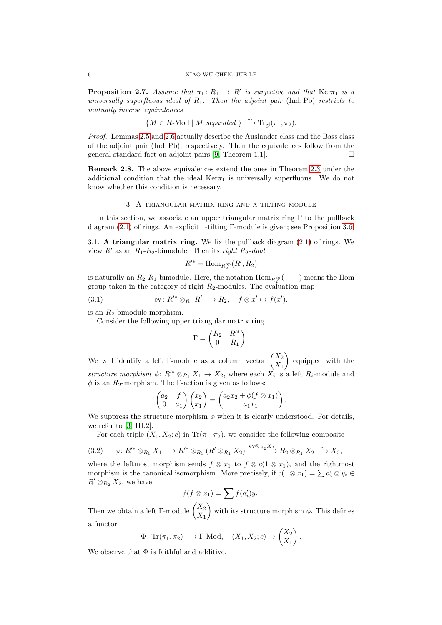#### 6 XIAO-WU CHEN, JUE LE

<span id="page-5-0"></span>**Proposition 2.7.** Assume that  $\pi_1: R_1 \to R'$  is surjective and that  $\text{Ker}\pi_1$  is a universally superfluous ideal of  $R_1$ . Then the adjoint pair (Ind, Pb) restricts to mutually inverse equivalences

 ${M \in R\text{-Mod} \mid M \; separated \}} \longrightarrow \text{Tr}_{gl}(\pi_1, \pi_2).$ 

Proof. Lemmas [2.5](#page-3-2) and [2.6](#page-4-1) actually describe the Auslander class and the Bass class of the adjoint pair (Ind,Pb), respectively. Then the equivalences follow from the general standard fact on adjoint pairs [\[9,](#page-12-9) Theorem 1.1].

Remark 2.8. The above equivalences extend the ones in Theorem [2.3](#page-3-0) under the additional condition that the ideal  $Ker\pi_1$  is universally superfluous. We do not know whether this condition is necessary.

## 3. A triangular matrix ring and a tilting module

In this section, we associate an upper triangular matrix ring  $\Gamma$  to the pullback diagram  $(2.1)$  of rings. An explicit 1-tilting Γ-module is given; see Proposition [3.6.](#page-7-0)

3.1. A triangular matrix ring. We fix the pullback diagram  $(2.1)$  of rings. We view  $R'$  as an  $R_1-R_2$ -bimodule. Then its *right*  $R_2$ -dual

$$
R^{\prime *} = \text{Hom}_{R_2^{\text{op}}}(R', R_2)
$$

is naturally an  $R_2$ - $R_1$ -bimodule. Here, the notation  $\text{Hom}_{R_2^{\text{op}}}(-,-)$  means the Hom group taken in the category of right  $R_2$ -modules. The evaluation map

<span id="page-5-2"></span>(3.1) 
$$
\text{ev}: R'^* \otimes_{R_1} R' \longrightarrow R_2, \quad f \otimes x' \mapsto f(x').
$$

is an  $R_2$ -bimodule morphism.

Consider the following upper triangular matrix ring

$$
\Gamma = \begin{pmatrix} R_2 & R'^* \\ 0 & R_1 \end{pmatrix}.
$$

We will identify a left Γ-module as a column vector  $\begin{pmatrix} X_2 \\ Y \end{pmatrix}$  $X_1$  equipped with the structure morphism  $\phi: R'^* \otimes_{R_1} X_1 \to X_2$ , where each  $X_i$  is a left  $R_i$ -module and  $\phi$  is an  $R_2\text{-morphism.}$  The  $\Gamma\text{-action}$  is given as follows:

$$
\begin{pmatrix} a_2 & f \ 0 & a_1 \end{pmatrix} \begin{pmatrix} x_2 \ x_1 \end{pmatrix} = \begin{pmatrix} a_2x_2 + \phi(f \otimes x_1) \\ a_1x_1 \end{pmatrix}.
$$

We suppress the structure morphism  $\phi$  when it is clearly understood. For details, we refer to [\[3,](#page-12-10) III.2].

For each triple  $(X_1, X_2; c)$  in  $\text{Tr}(\pi_1, \pi_2)$ , we consider the following composite

<span id="page-5-1"></span>
$$
(3.2) \qquad \phi\colon R'^* \otimes_{R_1} X_1 \longrightarrow R'^* \otimes_{R_1} (R' \otimes_{R_2} X_2) \xrightarrow{\text{ev} \otimes_{R_2} X_2} R_2 \otimes_{R_2} X_2 \xrightarrow{\sim} X_2,
$$

where the leftmost morphism sends  $f \otimes x_1$  to  $f \otimes c(1 \otimes x_1)$ , and the rightmost morphism is the canonical isomorphism. More precisely, if  $c(1 \otimes x_1) = \sum a'_i \otimes y_i \in$  $R' \otimes_{R_2} X_2$ , we have

$$
\phi(f\otimes x_1)=\sum f(a_i')y_i.
$$

Then we obtain a left Γ-module  $\begin{pmatrix} X_2 \\ V \end{pmatrix}$  $X_1$ with its structure morphism  $\phi$ . This defines a functor

$$
\Phi\colon \mathrm{Tr}(\pi_1, \pi_2) \longrightarrow \Gamma\text{-Mod}, \quad (X_1, X_2; c) \mapsto \begin{pmatrix} X_2 \\ X_1 \end{pmatrix}.
$$

We observe that  $\Phi$  is faithful and additive.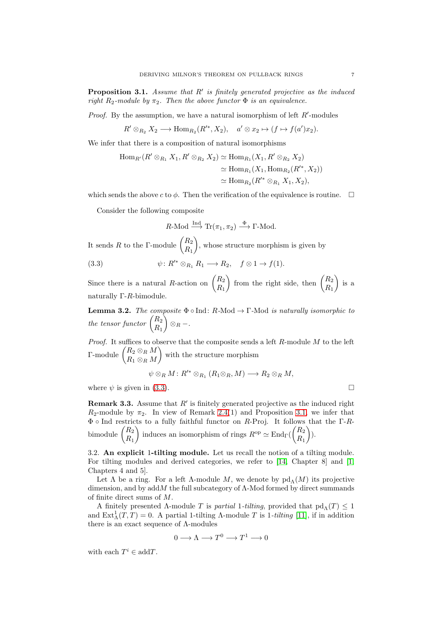<span id="page-6-1"></span>**Proposition 3.1.** Assume that  $R'$  is finitely generated projective as the induced right  $R_2$ -module by  $\pi_2$ . Then the above functor  $\Phi$  is an equivalence.

*Proof.* By the assumption, we have a natural isomorphism of left  $R'$ -modules

 $R' \otimes_{R_2} X_2 \longrightarrow \text{Hom}_{R_2}(R'^*, X_2), \quad a' \otimes x_2 \mapsto (f \mapsto f(a')x_2).$ 

We infer that there is a composition of natural isomorphisms

$$
\begin{aligned} \text{Hom}_{R'}(R' \otimes_{R_1} X_1, R' \otimes_{R_2} X_2) &\simeq \text{Hom}_{R_1}(X_1, R' \otimes_{R_2} X_2) \\ &\simeq \text{Hom}_{R_1}(X_1, \text{Hom}_{R_2}(R'^*, X_2)) \\ &\simeq \text{Hom}_{R_2}(R'^* \otimes_{R_1} X_1, X_2), \end{aligned}
$$

which sends the above c to  $\phi$ . Then the verification of the equivalence is routine.  $\Box$ 

Consider the following composite

$$
R\text{-Mod} \xrightarrow{\text{Ind}} \text{Tr}(\pi_1, \pi_2) \xrightarrow{\Phi} \Gamma\text{-Mod}.
$$

It sends R to the Γ-module  $\binom{R_2}{R_1}$  $R_1$ , whose structure morphism is given by

<span id="page-6-0"></span>(3.3) 
$$
\psi: R'^* \otimes_{R_1} R_1 \longrightarrow R_2, \quad f \otimes 1 \longrightarrow f(1).
$$

Since there is a natural R-action on  $\begin{pmatrix} R_2 \\ R \end{pmatrix}$  $R_1$ ) from the right side, then  $\binom{R_2}{R_1}$  $R_1$  $\Big)$  is a naturally Γ-R-bimodule.

**Lemma 3.2.** The composite  $\Phi \circ Ind: R\text{-Mod} \to \Gamma\text{-Mod}$  is naturally isomorphic to the tensor functor  $\begin{pmatrix} R_2 \\ R_1 \end{pmatrix}$  $R_1$  $\big\}\otimes_R -$ .

*Proof.* It suffices to observe that the composite sends a left  $R$ -module  $M$  to the left Γ-module  $\begin{pmatrix} R_2 \otimes_R M \\ R_2 \otimes_R M \end{pmatrix}$  $R_1\otimes_R M$ with the structure morphism

$$
\psi \otimes_R M : R'^* \otimes_{R_1} (R_1 \otimes_R M) \longrightarrow R_2 \otimes_R M,
$$

where  $\psi$  is given in [\(3.3\)](#page-6-0).

<span id="page-6-2"></span>**Remark 3.3.** Assume that  $R'$  is finitely generated projective as the induced right  $R_2$ -module by  $\pi_2$ . In view of Remark [2.4\(](#page-3-3)1) and Proposition [3.1,](#page-6-1) we infer that  $Φ$  ο Ind restricts to a fully faithful functor on R-Proj. It follows that the Γ-Rbimodule  $\binom{R_2}{P}$  $R_1$ ) induces an isomorphism of rings  $R^{\rm op} \simeq \text{End}_{\Gamma}(\begin{pmatrix} R_2 \ R_1 \end{pmatrix})$  $R_1$  $\bigg).$ 

3.2. An explicit 1-tilting module. Let us recall the notion of a tilting module. For tilting modules and derived categories, we refer to [\[14,](#page-13-7) Chapter 8] and [\[1,](#page-12-11) Chapters 4 and 5].

Let  $\Lambda$  be a ring. For a left  $\Lambda$ -module  $M$ , we denote by  $\text{pd}_{\Lambda}(M)$  its projective dimension, and by  $addM$  the full subcategory of  $\Lambda$ -Mod formed by direct summands of finite direct sums of M.

A finitely presented Λ-module T is partial 1-tilting, provided that  $pd<sub>Λ</sub>(T) \leq 1$ and  $\text{Ext}^1_{\Lambda}(T,T) = 0$ . A partial 1-tilting  $\Lambda$ -module T is 1-tilting [\[11\]](#page-12-4), if in addition there is an exact sequence of  $\Lambda$ -modules

$$
0 \longrightarrow \Lambda \longrightarrow T^0 \longrightarrow T^1 \longrightarrow 0
$$

with each  $T^i \in \text{add}T$ .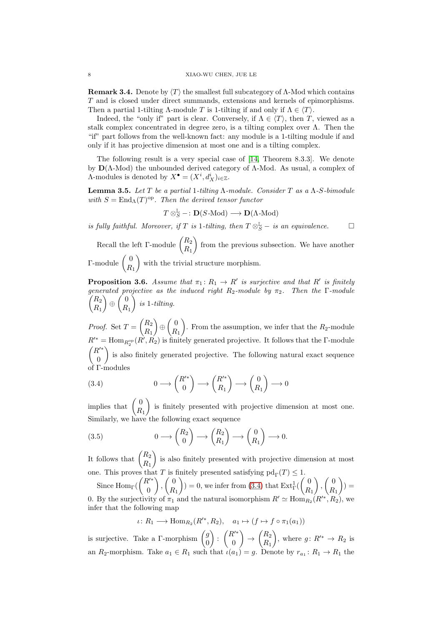<span id="page-7-3"></span>**Remark 3.4.** Denote by  $\langle T \rangle$  the smallest full subcategory of  $\Lambda$ -Mod which contains T and is closed under direct summands, extensions and kernels of epimorphisms. Then a partial 1-tilting Λ-module T is 1-tilting if and only if  $\Lambda \in \langle T \rangle$ .

Indeed, the "only if" part is clear. Conversely, if  $\Lambda \in \langle T \rangle$ , then T, viewed as a stalk complex concentrated in degree zero, is a tilting complex over  $\Lambda$ . Then the "if" part follows from the well-known fact: any module is a 1-tilting module if and only if it has projective dimension at most one and is a tilting complex.

The following result is a very special case of [\[14,](#page-13-7) Theorem 8.3.3]. We denote by  $D(Λ-Mod)$  the unbounded derived category of Λ-Mod. As usual, a complex of  $\Lambda$ -modules is denoted by  $X^{\bullet} = (X^i, d_X^i)_{i \in \mathbb{Z}}$ .

<span id="page-7-4"></span>Lemma 3.5. Let T be a partial 1-tilting  $\Lambda$ -module. Consider T as a  $\Lambda$ -S-bimodule with  $S = \text{End}_{\Lambda}(T)^{\text{op}}$ . Then the derived tensor functor

$$
T \otimes_S^{\mathbb{L}} - \colon \mathbf{D}(S\text{-Mod}) \longrightarrow \mathbf{D}(\Lambda\text{-Mod})
$$

is fully faithful. Moreover, if T is 1-tilting, then  $T \otimes_S^{\mathbb{L}} -$  is an equivalence.

Recall the left  $\Gamma$ -module  $\begin{pmatrix} R_2 \\ R_1 \end{pmatrix}$  $R_1$ from the previous subsection. We have another Γ-module  $\begin{pmatrix} 0 \\ p \end{pmatrix}$  $R_1$ with the trivial structure morphism.

<span id="page-7-0"></span>**Proposition 3.6.** Assume that  $\pi_1: R_1 \to R'$  is surjective and that R' is finitely generated projective as the induced right  $R_2$ -module by  $\pi_2$ . Then the  $\Gamma$ -module  $\sqrt{R_2}$  $R_1$  $\Big) \oplus \Big( \frac{0}{R} \Big)$  $R_1$  $\Big)$  is 1-tilting.

*Proof.* Set  $T = \begin{pmatrix} R_2 \\ R_1 \end{pmatrix}$  $R_1$  $\Big) \oplus \Big( \frac{0}{R}$  $R_1$ ). From the assumption, we infer that the  $R_2$ -module  $R'^* = \text{Hom}_{R_2^{\text{op}}}(R', \tilde{R_2})$  is finitely generated projective. It follows that the  $\Gamma$ -module  $(R'^*$  $\theta$  is also finitely generated projective. The following natural exact sequence of Γ-modules

<span id="page-7-1"></span>(3.4) 
$$
0 \longrightarrow \begin{pmatrix} R'^* \\ 0 \end{pmatrix} \longrightarrow \begin{pmatrix} R'^* \\ R_1 \end{pmatrix} \longrightarrow \begin{pmatrix} 0 \\ R_1 \end{pmatrix} \longrightarrow 0
$$

implies that  $\begin{pmatrix} 0 \\ D \end{pmatrix}$  $R_1$  is finitely presented with projective dimension at most one. Similarly, we have the following exact sequence

<span id="page-7-2"></span>(3.5) 
$$
0 \longrightarrow \begin{pmatrix} R_2 \\ 0 \end{pmatrix} \longrightarrow \begin{pmatrix} R_2 \\ R_1 \end{pmatrix} \longrightarrow \begin{pmatrix} 0 \\ R_1 \end{pmatrix} \longrightarrow 0.
$$

It follows that  $\begin{pmatrix} R_2 \\ R_1 \end{pmatrix}$  $R_1$  is also finitely presented with projective dimension at most one. This proves that T is finitely presented satisfying  $pd_{\Gamma}(T) \leq 1$ .

Since  $\text{Hom}_{\Gamma}(\begin{pmatrix} R'^{*} \\ 0 \end{pmatrix})$ 0  $\Big)$ ,  $\Big( \frac{0}{R} \Big)$  $R_1$  $($  = 0, we infer from [\(3.4\)](#page-7-1) that  $\text{Ext}^1_{\Gamma}(\begin{pmatrix} 0 \\ R \end{pmatrix})$  $R_1$  $\Big)$ ,  $\Big( \frac{0}{R} \Big)$  $R_1$  $) =$ 0. By the surjectivity of  $\pi_1$  and the natural isomorphism  $R' \simeq \text{Hom}_{R_2}(R'^*, R_2)$ , we infer that the following map

$$
\iota\colon R_1\longrightarrow \text{Hom}_{R_2}(R'^*,R_2),\quad a_1\mapsto (f\mapsto f\circ \pi_1(a_1))
$$

is surjective. Take a  $\Gamma$ -morphism  $\begin{pmatrix} g \\ o \end{pmatrix}$ 0 ) :  $\binom{R^{r*}}{0}$ 0  $\bigg\} \rightarrow \bigg( \frac{R_2}{R_1} \bigg)$  $R_1$ ), where  $g: R'^* \to R_2$  is an  $R_2$ -morphism. Take  $a_1 \in R_1$  such that  $\iota(a_1) = g$ . Denote by  $r_{a_1} : R_1 \to R_1$  the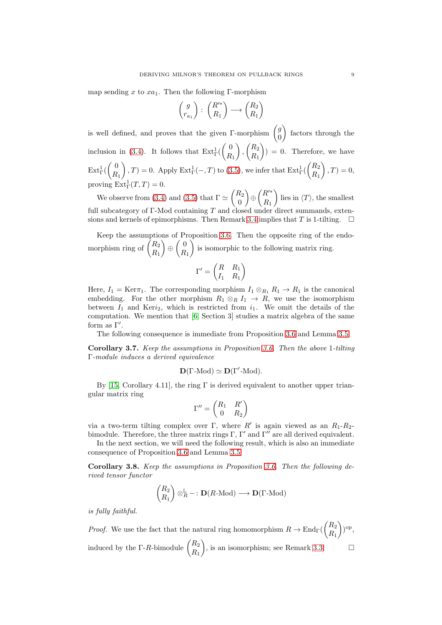map sending x to  $xa_1$ . Then the following Γ-morphism

$$
\begin{pmatrix} g \\ r_{a_1} \end{pmatrix} : \begin{pmatrix} R'^* \\ R_1 \end{pmatrix} \longrightarrow \begin{pmatrix} R_2 \\ R_1 \end{pmatrix}
$$

is well defined, and proves that the given Γ-morphism  $\begin{pmatrix} g \\ o \end{pmatrix}$ 0 factors through the inclusion in [\(3.4\)](#page-7-1). It follows that  $\text{Ext}^1_{\Gamma}(\begin{pmatrix} 0 \\ R \end{pmatrix})$  $R_1$  $\bigg)$ ,  $\bigg( \frac{R_2}{R_2} \bigg)$  $R_1$  $() = 0$ . Therefore, we have  $\mathrm{Ext}^1_{\Gamma}(\left( \frac{0}{R} \right)$  $R_1$  $\binom{R_2}{R_1}$ ,  $T$ ) = 0. Apply Ext<sub>1</sub><sup>1</sup>(-, T) to [\(3.5\)](#page-7-2), we infer that Ext<sub>1</sub><sup>1</sup>( $\binom{R_2}{R_1}$  $R_1$  $\Big), T = 0,$ proving  $\text{Ext}^1_{\Gamma}(T,T) = 0.$ 

We observe from [\(3.4\)](#page-7-1) and [\(3.5\)](#page-7-2) that  $\Gamma \simeq \begin{pmatrix} R_2 \\ 0 \end{pmatrix}$  $\theta$  $\Big) \oplus \Big( \begin{matrix} R'^* \\ D \end{matrix}$  $R_1$ lies in  $\langle T \rangle$ , the smallest full subcategory of Γ-Mod containing  $T$  and closed under direct summands, exten-sions and kernels of epimorphisms. Then Remark [3.4](#page-7-3) implies that T is 1-tilting.  $\square$ 

Keep the assumptions of Proposition [3.6.](#page-7-0) Then the opposite ring of the endomorphism ring of  $\binom{R_2}{R_1}$  $R_1$  $\Big) \oplus \Big( \frac{0}{p}$  $R_1$ is isomorphic to the following matrix ring.

$$
\Gamma' = \begin{pmatrix} R & R_1 \\ I_1 & R_1 \end{pmatrix}
$$

Here,  $I_1 = \text{Ker}\tau_1$ . The corresponding morphism  $I_1 \otimes_{R_1} R_1 \to R_1$  is the canonical embedding. For the other morphism  $R_1 \otimes_R I_1 \to R$ , we use the isomorphism between  $I_1$  and Keri<sub>2</sub>, which is restricted from  $i_1$ . We omit the details of the computation. We mention that [\[6,](#page-12-2) Section 3] studies a matrix algebra of the same form as  $\Gamma'$ .

The following consequence is immediate from Proposition [3.6](#page-7-0) and Lemma [3.5.](#page-7-4)

Corollary 3.7. Keep the assumptions in Proposition [3.6.](#page-7-0) Then the above 1-tilting Γ-module induces a derived equivalence

$$
\mathbf{D}(\Gamma\text{-Mod})\simeq\mathbf{D}(\Gamma'\text{-Mod}).
$$

By [\[15,](#page-13-8) Corollary 4.11], the ring  $\Gamma$  is derived equivalent to another upper triangular matrix ring

$$
\Gamma'' = \begin{pmatrix} R_1 & R' \\ 0 & R_2 \end{pmatrix}
$$

via a two-term tilting complex over  $\Gamma$ , where  $R'$  is again viewed as an  $R_1-R_2$ bimodule. Therefore, the three matrix rings  $\Gamma$ ,  $\Gamma'$  and  $\Gamma''$  are all derived equivalent.

In the next section, we will need the following result, which is also an immediate consequence of Proposition [3.6](#page-7-0) and Lemma [3.5.](#page-7-4)

<span id="page-8-0"></span>Corollary 3.8. Keep the assumptions in Proposition [3.6.](#page-7-0) Then the following derived tensor functor

$$
\begin{pmatrix} R_2 \\ R_1 \end{pmatrix} \otimes_R^{\mathbb{L}} -: \mathbf{D}(R\text{-Mod}) \longrightarrow \mathbf{D}(\Gamma\text{-Mod})
$$

is fully faithful.

*Proof.* We use the fact that the natural ring homomorphism  $R \to \text{End}_{\Gamma}(\begin{pmatrix} R_2 \ R_1 \end{pmatrix})$  $R_1$  $\big)$ <sup>op</sup>, induced by the Γ-R-bimodule  $\begin{pmatrix} R_2 \\ R_3 \end{pmatrix}$  $R_1$ ), is an isomorphism; see Remark [3.3.](#page-6-2)  $\square$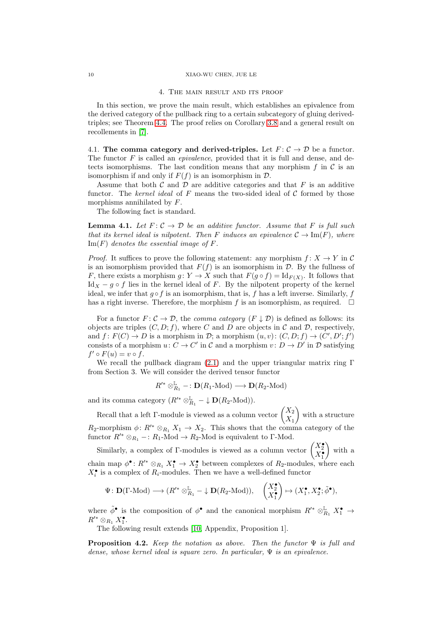#### 10 XIAO-WU CHEN, JUE LE

#### 4. The main result and its proof

In this section, we prove the main result, which establishes an epivalence from the derived category of the pullback ring to a certain subcategory of gluing derivedtriples; see Theorem [4.4.](#page-11-0) The proof relies on Corollary [3.8](#page-8-0) and a general result on recollements in [\[7\]](#page-12-6).

4.1. The comma category and derived-triples. Let  $F: \mathcal{C} \to \mathcal{D}$  be a functor. The functor  $F$  is called an *epivalence*, provided that it is full and dense, and detects isomorphisms. The last condition means that any morphism f in  $\mathcal C$  is an isomorphism if and only if  $F(f)$  is an isomorphism in  $\mathcal{D}$ .

Assume that both  $\mathcal C$  and  $\mathcal D$  are additive categories and that  $F$  is an additive functor. The kernel ideal of F means the two-sided ideal of  $\mathcal C$  formed by those morphisms annihilated by F.

The following fact is standard.

<span id="page-9-0"></span>**Lemma 4.1.** Let  $F: \mathcal{C} \to \mathcal{D}$  be an additive functor. Assume that F is full such that its kernel ideal is nilpotent. Then F induces an epivalence  $\mathcal{C} \to \text{Im}(F)$ , where  $\text{Im}(F)$  denotes the essential image of F.

*Proof.* It suffices to prove the following statement: any morphism  $f: X \to Y$  in C is an isomorphism provided that  $F(f)$  is an isomorphism in  $\mathcal{D}$ . By the fullness of F, there exists a morphism  $g: Y \to X$  such that  $F(g \circ f) = \mathrm{Id}_{F(X)}$ . It follows that Id<sub>X</sub> – g ∘ f lies in the kernel ideal of F. By the nilpotent property of the kernel ideal, we infer that  $g \circ f$  is an isomorphism, that is, f has a left inverse. Similarly, f has a right inverse. Therefore, the morphism  $f$  is an isomorphism, as required.  $\Box$ 

For a functor  $F: \mathcal{C} \to \mathcal{D}$ , the *comma category*  $(F \downarrow \mathcal{D})$  is defined as follows: its objects are triples  $(C, D; f)$ , where C and D are objects in C and D, respectively, and  $f: F(C) \to D$  is a morphism in  $\mathcal{D}$ ; a morphism  $(u, v): (C, D; f) \to (C', D'; f')$ consists of a morphism  $u: C \to C'$  in C and a morphism  $v: D \to D'$  in D satisfying  $f' \circ F(u) = v \circ f.$ 

We recall the pullback diagram [\(2.1\)](#page-2-0) and the upper triangular matrix ring  $\Gamma$ from Section 3. We will consider the derived tensor functor

$$
R'^* \otimes_{R_1}^{\mathbb{L}} -: \mathbf{D}(R_1\text{-Mod}) \longrightarrow \mathbf{D}(R_2\text{-Mod})
$$

and its comma category  $(R'^* \otimes_{R_1}^{\mathbb{L}} - \downarrow \mathbf{D}(R_2 \text{-Mod})).$ 

Recall that a left Γ-module is viewed as a column vector  $\begin{pmatrix} X_2 \\ Y \end{pmatrix}$  $X_1$  with a structure  $R_2$ -morphism  $\phi: R'^* \otimes_{R_1} X_1 \to X_2$ . This shows that the comma category of the functor  $R'^* \otimes_{R_1} -: R_1 \text{-Mod} \to R_2 \text{-Mod}$  is equivalent to Γ-Mod.

Similarly, a complex of Γ-modules is viewed as a column vector  $\begin{pmatrix} X_2^{\bullet} \\ X_1^{\bullet} \end{pmatrix}$  with a chain map  $\phi^{\bullet}$ :  $R'^{*} \otimes_{R_1} X_1^{\bullet} \to X_2^{\bullet}$  between complexes of  $R_2$ -modules, where each  $X_i^{\bullet}$  is a complex of  $R_i$ -modules. Then we have a well-defined functor

$$
\Psi\colon\mathbf{D}(\Gamma\text{-Mod})\longrightarrow(R'^*\otimes^\mathbb{L}_{R_1}-\downarrow\mathbf{D}(R_2\text{-Mod})),\quad \begin{pmatrix}X^\bullet_{2}\\X^\bullet_{1}\end{pmatrix}\mapsto(X^\bullet_{1},X^\bullet_{2};\tilde{\phi}^\bullet),
$$

where  $\tilde{\phi}^{\bullet}$  is the composition of  $\phi^{\bullet}$  and the canonical morphism  $R'^* \otimes_{R_1}^{\mathbb{L}} X_1^{\bullet} \to$  $R'^* \otimes_{R_1} X_1^{\bullet}.$ 

The following result extends [\[10,](#page-12-7) Appendix, Proposition 1].

<span id="page-9-1"></span>**Proposition 4.2.** Keep the notation as above. Then the functor  $\Psi$  is full and dense, whose kernel ideal is square zero. In particular,  $\Psi$  is an epivalence.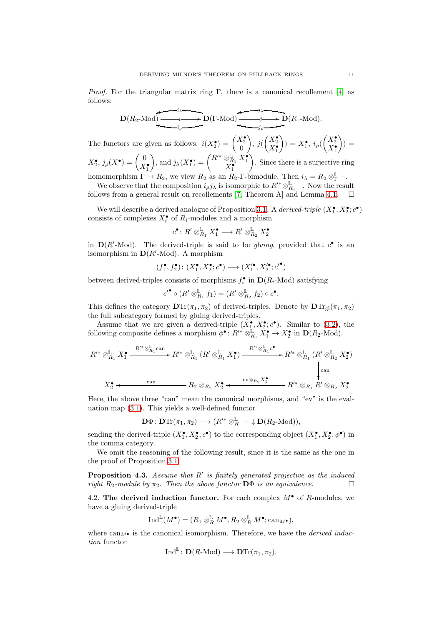*Proof.* For the triangular matrix ring Γ, there is a canonical recollement [\[4\]](#page-12-5) as follows:

$$
\mathbf{D}(R_2\text{-Mod}) \xrightarrow{\qquad \qquad i \qquad \qquad } \mathbf{D}(\Gamma\text{-Mod}) \xrightarrow{\qquad \qquad j \qquad \qquad } \mathbf{D}(R_1\text{-Mod}).
$$

The functors are given as follows:  $i(X_2^{\bullet}) = \begin{pmatrix} X_2^{\bullet} \\ 0 \end{pmatrix}$  $\bigg), \, j(\begin{pmatrix} X_2^{\bullet} \\ X_1^{\bullet} \end{pmatrix})$  $\bigg))=X_{1}^{\bullet },i_{\rho }(\begin{pmatrix} X_{2}^{\bullet}\\ X_{1}^{\bullet } \end{pmatrix})$  $) =$  $X_2^{\bullet}, j_\rho(X_1^{\bullet}) = \begin{pmatrix} 0 \\ Y \end{pmatrix}$  $X_1^{\bullet}$  $\bigg),$  and  $j_{\lambda}(X_1^{\bullet}) = \begin{pmatrix} R'^{*} \otimes_{R_1}^{\mathbb{L}} X_1^{\bullet} \\ X_1^{\bullet} \end{pmatrix}$ . Since there is a surjective ring

homomorphism  $\Gamma \to R_2$ , we view  $R_2$  as an  $R_2$ -Γ-bimodule. Then  $i_{\lambda} = R_2 \otimes_{\Gamma}^{\mathbb{L}}$  -.

We observe that the composition  $i_{\rho} j_{\lambda}$  is isomorphic to  $R'^* \otimes_{R_1}^{\mathbb{L}}$  –. Now the result follows from a general result on recollements [\[7,](#page-12-6) Theorem A] and Lemma [4.1.](#page-9-0)

We will describe a derived analogue of Proposition [3.1.](#page-6-1) A *derived-triple*  $(X_1^{\bullet}, X_2^{\bullet}; c^{\bullet})$ consists of complexes  $X_i^{\bullet}$  of  $R_i$ -modules and a morphism

$$
c^{\bullet} \colon R' \otimes_{R_1}^{\mathbb{L}} X_1^{\bullet} \longrightarrow R' \otimes_{R_2}^{\mathbb{L}} X_2^{\bullet}
$$

in  $D(R'-Mod)$ . The derived-triple is said to be *gluing*, provided that  $c^{\bullet}$  is an isomorphism in  $D(R'-Mod)$ . A morphism

$$
(f_1^\bullet,f_2^\bullet)\colon (X_1^\bullet,X_2^\bullet;c^\bullet)\longrightarrow (X_1'^\bullet,X_2'^\bullet;c'^\bullet)
$$

between derived-triples consists of morphisms  $f_i^{\bullet}$  in  $\mathbf{D}(R_i\text{-Mod})$  satisfying

$$
c'^{\bullet} \circ (R' \otimes_{R_1}^{\mathbb{L}} f_1) = (R' \otimes_{R_2}^{\mathbb{L}} f_2) \circ c^{\bullet}.
$$

This defines the category  $DTr(\pi_1, \pi_2)$  of derived-triples. Denote by  $DTr_{gl}(\pi_1, \pi_2)$ the full subcategory formed by gluing derived-triples.

Assume that we are given a derived-triple  $(X_1^{\bullet}, X_2^{\bullet}; c^{\bullet})$ . Similar to [\(3.2\)](#page-5-1), the following composite defines a morphism  $\phi^{\bullet} : R'^* \otimes_{R_1}^{\mathbb{L}} X_1^{\bullet} \to X_2^{\bullet}$  in  $\mathbf{D}(R_2\text{-Mod})$ .

$$
R'^* \otimes_{R_1}^{\mathbb{L}} X_1^{\bullet} \xrightarrow{R'^* \otimes_{R_1}^{\mathbb{L}} \text{can}} R'^* \otimes_{R_1}^{\mathbb{L}} (R' \otimes_{R_1}^{\mathbb{L}} X_1^{\bullet}) \xrightarrow{R'^* \otimes_{R_1}^{\mathbb{L}} c^{\bullet}} R'^* \otimes_{R_1}^{\mathbb{L}} (R' \otimes_{R_2}^{\mathbb{L}} X_2^{\bullet})
$$
\n
$$
\downarrow_{\text{can}}
$$
\n
$$
X_2^{\bullet} \xleftarrow{\text{can}} R_2 \otimes_{R_2} X_2^{\bullet} \xleftarrow{\text{ev} \otimes_{R_2} X_2^{\bullet}} R'^* \otimes_{R_1} R' \otimes_{R_2} X_2^{\bullet}
$$

Here, the above three "can" mean the canonical morphisms, and "ev" is the evaluation map [\(3.1\)](#page-5-2). This yields a well-defined functor

$$
\mathbf{D}\Phi\colon \mathbf{D}\mathrm{Tr}(\pi_1,\pi_2)\longrightarrow (R'^*\otimes_{R_1}^{\mathbb{L}}-\downarrow \mathbf{D}(R_2\text{-Mod})),
$$

sending the derived-triple  $(X_1^{\bullet}, X_2^{\bullet}; c^{\bullet})$  to the corresponding object  $(X_1^{\bullet}, X_2^{\bullet}; \phi^{\bullet})$  in the comma category.

We omit the reasoning of the following result, since it is the same as the one in the proof of Proposition [3.1.](#page-6-1)

<span id="page-10-0"></span>**Proposition 4.3.** Assume that  $R'$  is finitely generated projective as the induced right  $R_2$ -module by  $\pi_2$ . Then the above functor  $\mathbf{D}\Phi$  is an equivalence.

4.2. The derived induction functor. For each complex  $M^{\bullet}$  of R-modules, we have a gluing derived-triple

$$
\operatorname{Ind}^{\mathbb{L}}(M^\bullet) = (R_1 \otimes_R^\mathbb{L} M^\bullet, R_2 \otimes_R^\mathbb{L} M^\bullet; \mathrm{can}_{M^\bullet}),
$$

where  $can_M\bullet$  is the canonical isomorphism. Therefore, we have the *derived induc*tion functor

$$
\mathrm{Ind}^{\mathbb{L}}\colon \mathbf{D}(R\text{-Mod})\longrightarrow \mathbf{D}\mathrm{Tr}(\pi_1,\pi_2).
$$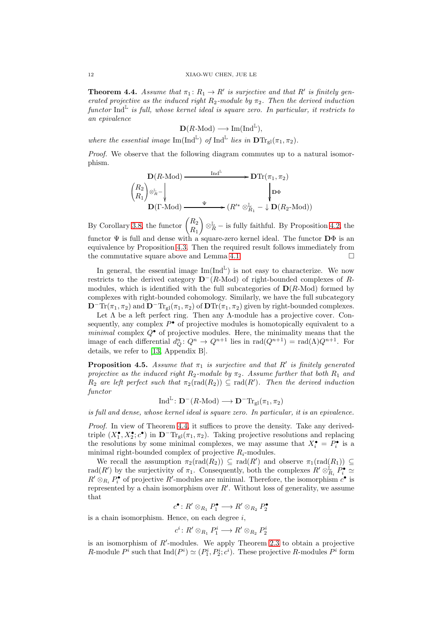<span id="page-11-0"></span>**Theorem 4.4.** Assume that  $\pi_1: R_1 \to R'$  is surjective and that R' is finitely generated projective as the induced right  $R_2$ -module by  $\pi_2$ . Then the derived induction  $\text{function Ind}^{\mathbb{L}}$  is full, whose kernel ideal is square zero. In particular, it restricts to an epivalence

$$
\mathbf{D}(R\text{-Mod}) \longrightarrow \text{Im}(\text{Ind}^{\mathbb{L}}),
$$

where the essential image  $\text{Im}(\text{Ind}^{\mathbb{L}})$  of  $\text{Ind}^{\mathbb{L}}$  lies in  $\text{DTr}_{\text{gl}}(\pi_1, \pi_2)$ .

Proof. We observe that the following diagram commutes up to a natural isomorphism.

$$
\mathbf{D}(R\text{-Mod}) \longrightarrow \mathbf{D}\mathrm{Tr}(\pi_1, \pi_2)
$$
\n
$$
\begin{pmatrix} R_2 \\ R_1 \end{pmatrix} \otimes_R^{\mathbb{L}} \longrightarrow \begin{pmatrix} \text{Ind}^{\mathbb{L}} & \mathbf{D}\mathrm{Tr}(\pi_1, \pi_2) \\ \downarrow & \downarrow \\ \mathbf{D}(\Gamma\text{-Mod}) \longrightarrow \begin{pmatrix} \Psi & \otimes_{R_1}^{\mathbb{L}} & \downarrow \\ \downarrow & \downarrow & \mathbf{D}(R_2\text{-Mod}) \end{pmatrix} \end{pmatrix}
$$

By Corollary [3.8,](#page-8-0) the functor  $\begin{pmatrix} R_2 \\ R_1 \end{pmatrix}$  $R_1$  $\Big) \otimes_R^{\mathbb{L}}$  – is fully faithful. By Proposition [4.2,](#page-9-1) the functor  $\Psi$  is full and dense with a square-zero kernel ideal. The functor  $\mathbf{D}\Phi$  is an equivalence by Proposition [4.3.](#page-10-0) Then the required result follows immediately from the commutative square above and Lemma [4.1.](#page-9-0)  $\Box$ 

In general, the essential image  $\text{Im}(\text{Ind}^{\mathbb{L}})$  is not easy to characterize. We now restricts to the derived category  $\mathbf{D}^-(R\text{-Mod})$  of right-bounded complexes of Rmodules, which is identified with the full subcategories of  $D(R\text{-Mod})$  formed by complexes with right-bounded cohomology. Similarly, we have the full subcategory  $\mathbf{D}^-\text{Tr}(\pi_1, \pi_2)$  and  $\mathbf{D}^-\text{Tr}_{gl}(\pi_1, \pi_2)$  of  $\mathbf{D}\text{Tr}(\pi_1, \pi_2)$  given by right-bounded complexes.

Let  $\Lambda$  be a left perfect ring. Then any  $\Lambda$ -module has a projective cover. Consequently, any complex  $P^{\bullet}$  of projective modules is homotopically equivalent to a *minimal* complex  $Q^{\bullet}$  of projective modules. Here, the minimality means that the image of each differential  $d_Q^n: Q^n \to Q^{n+1}$  lies in  $\text{rad}(Q^{n+1}) = \text{rad}(\Lambda)Q^{n+1}$ . For details, we refer to [\[13,](#page-13-9) Appendix B].

<span id="page-11-1"></span>**Proposition 4.5.** Assume that  $\pi_1$  is surjective and that R' is finitely generated projective as the induced right  $R_2$ -module by  $\pi_2$ . Assume further that both  $R_1$  and  $R_2$  are left perfect such that  $\pi_2(\text{rad}(R_2)) \subseteq \text{rad}(R')$ . Then the derived induction functor

$$
\operatorname{Ind}^{\mathbb{L}}\colon \mathbf{D}^-(R\text{-Mod})\longrightarrow \mathbf{D}^-\mathrm{Tr}_{\mathrm{gl}}(\pi_1,\pi_2)
$$

is full and dense, whose kernel ideal is square zero. In particular, it is an epivalence.

Proof. In view of Theorem [4.4,](#page-11-0) it suffices to prove the density. Take any derivedtriple  $(X_1^{\bullet}, X_2^{\bullet}; c^{\bullet})$  in  $D^{\dagger} \text{Tr}_{gl}(\pi_1, \pi_2)$ . Taking projective resolutions and replacing the resolutions by some minimal complexes, we may assume that  $X_i^{\bullet} = P_i^{\bullet}$  is a minimal right-bounded complex of projective  $R_i$ -modules.

We recall the assumption  $\pi_2(\text{rad}(R_2)) \subseteq \text{rad}(R')$  and observe  $\pi_1(\text{rad}(R_1)) \subseteq$ rad(R') by the surjectivity of  $\pi_1$ . Consequently, both the complexes  $R' \otimes_{R_i}^{\mathbb{L}} P_i^{\bullet} \simeq$  $R' \otimes_{R_i} P_i^{\bullet}$  of projective  $R'$ -modules are minimal. Therefore, the isomorphism  $c^{\bullet}$  is represented by a chain isomorphism over  $R'$ . Without loss of generality, we assume that

$$
c^{\bullet} \colon R' \otimes_{R_1} P_1^{\bullet} \longrightarrow R' \otimes_{R_2} P_2^{\bullet}
$$

is a chain isomorphism. Hence, on each degree  $i$ ,

c

$$
^{i}\colon R'\otimes_{R_{1}}P_{1}^{i}\longrightarrow R'\otimes_{R_{2}}P_{2}^{i}
$$

is an isomorphism of  $R'$ -modules. We apply Theorem [2.3](#page-3-0) to obtain a projective R-module  $P^i$  such that  $\text{Ind}(P^i) \simeq (P_1^i, P_2^i; c^i)$ . These projective R-modules  $P^i$  form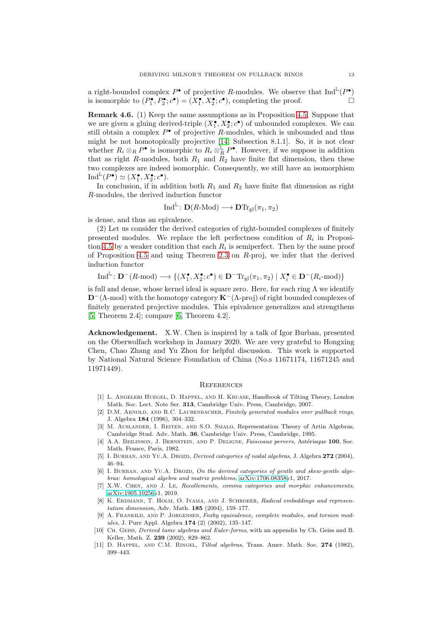a right-bounded complex  $P^{\bullet}$  of projective R-modules. We observe that  $\text{Ind}^{\mathbb{L}}(P^{\bullet})$ is isomorphic to  $(P_1^{\bullet}, P_2^{\bullet}; c^{\bullet}) = (X_1^{\bullet}, X_2^{\bullet}; c^{\bullet})$ , completing the proof.

<span id="page-12-8"></span>Remark 4.6. (1) Keep the same assumptions as in Proposition [4.5.](#page-11-1) Suppose that we are given a gluing derived-triple  $(X_1^{\bullet}, X_2^{\bullet}; c^{\bullet})$  of unbounded complexes. We can still obtain a complex  $P^{\bullet}$  of projective R-modules, which is unbounded and thus might be not homotopically projective [\[14,](#page-13-7) Subsection 8.1.1]. So, it is not clear whether  $R_i \otimes_R P^{\bullet}$  is isomorphic to  $R_i \otimes_R^{\mathbb{L}} P^{\bullet}$ . However, if we suppose in addition that as right R-modules, both  $R_1$  and  $R_2$  have finite flat dimension, then these two complexes are indeed isomorphic. Consequently, we still have an isomorphism  $\text{Ind}^{\mathbb{L}}(P^{\bullet}) \simeq (X_1^{\bullet}, X_2^{\bullet}; c^{\bullet}).$ 

In conclusion, if in addition both  $R_1$  and  $R_2$  have finite flat dimension as right R-modules, the derived induction functor

$$
\operatorname{Ind}^{\mathbb{L}}\colon \mathbf{D}(R\text{-Mod}) \longrightarrow \mathbf{D}\mathrm{Tr}_{\mathrm{gl}}(\pi_1, \pi_2)
$$

is dense, and thus an epivalence.

(2) Let us consider the derived categories of right-bounded complexes of finitely presented modules. We replace the left perfectness condition of  $R_i$  in Proposi-tion [4.5](#page-11-1) by a weaker condition that each  $R_i$  is semiperfect. Then by the same proof of Proposition [4.5](#page-11-1) and using Theorem [2.3](#page-3-0) on R-proj, we infer that the derived induction functor

$$
\mathrm{Ind}^{\mathbb{L}}\colon \mathbf{D}^-(R\text{-}\mathrm{mod})\longrightarrow \{(X_1^\bullet,X_2^\bullet;c^\bullet)\in \mathbf{D}^-\mathrm{Tr}_{\mathrm{gl}}(\pi_1,\pi_2)\mid X_i^\bullet\in \mathbf{D}^-(R_i\text{-}\mathrm{mod})\}
$$

is full and dense, whose kernel ideal is square zero. Here, for each ring  $\Lambda$  we identify  $D^{-}(\Lambda\text{-mod})$  with the homotopy category  $\mathbf{K}^{-}(\Lambda\text{-proj})$  of right bounded complexes of finitely generated projective modules. This epivalence generalizes and strengthens [\[5,](#page-12-3) Theorem 2.4]; compare [\[6,](#page-12-2) Theorem 4.2].

Acknowledgement. X.W. Chen is inspired by a talk of Igor Burban, presented on the Oberwolfach workshop in January 2020. We are very grateful to Hongxing Chen, Chao Zhang and Yu Zhou for helpful discussion. This work is supported by National Natural Science Foundation of China (No.s 11671174, 11671245 and 11971449).

# **REFERENCES**

- <span id="page-12-11"></span>[1] L. Angeleri Huegel, D. Happel, and H. Kruase, Handbook of Tilting Theory, London Math. Soc. Lect. Note Ser. 313, Cambridge Univ. Press, Cambridge, 2007.
- <span id="page-12-0"></span>[2] D.M. Arnold, and R.C. Laubenbacher, *Finitely generated modules over pullback rings*, J. Algebra 184 (1996), 304–332.
- <span id="page-12-10"></span>[3] M. AUSLANDER, I. REITEN, AND S.O. SMALO, Representation Theory of Artin Algebras, Cambridge Stud. Adv. Math. 36, Cambridge Univ. Press, Cambridge, 1995.
- <span id="page-12-5"></span>[4] A.A. BEILINSON, J. BERNSTEIN, AND P. DELIGNE, *Faisceaux pervers*, Astérisque 100, Soc. Math. France, Paris, 1982.
- <span id="page-12-3"></span>[5] I. BURBAN, AND YU.A. DROZD, *Derived categories of nodal algebras*, J. Algebra 272 (2004), 46–94.
- <span id="page-12-2"></span>[6] I. BURBAN, AND YU.A. DROZD, On the derived categories of gentle and skew-gentle alge*bras: homological algebra and matrix problems*, [arXiv:1706.08358v](http://arxiv.org/abs/1706.08358)1, 2017.
- <span id="page-12-6"></span>[7] X.W. Chen, and J. Le, *Recollements, comma categories and morphic enhancements*, [arXiv:1905.10256v](http://arxiv.org/abs/1905.10256)1, 2019.
- <span id="page-12-1"></span>[8] K. Erdmann, T. Holm, O. Iyama, and J. Schroeer, *Radical embeddings and representation dimension*, Adv. Math. 185 (2004), 159–177.
- <span id="page-12-9"></span>[9] A. Frankild, and P. Jorgensen, *Foxby equivalence, complete modules, and torsion modules*, J. Pure Appl. Algebra 174 (2) (2002), 135–147.
- <span id="page-12-7"></span>[10] Ch. Geiss, *Derived tame algebras and Euler-forms*, with an appendix by Ch. Geiss and B. Keller, Math. Z. 239 (2002), 829–862.
- <span id="page-12-4"></span>[11] D. Happel, and C.M. Ringel, *Tilted algebras*, Trans. Amer. Math. Soc. 274 (1982), 399–443.